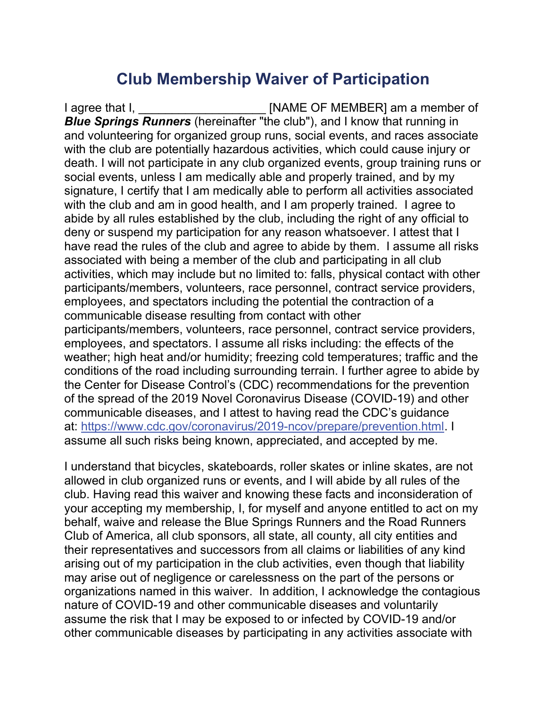## Club Membership Waiver of Participation

I agree that I, The South CORE IS EXAME OF MEMBER] am a member of **Blue Springs Runners** (hereinafter "the club"), and I know that running in and volunteering for organized group runs, social events, and races associate with the club are potentially hazardous activities, which could cause injury or death. I will not participate in any club organized events, group training runs or social events, unless I am medically able and properly trained, and by my signature, I certify that I am medically able to perform all activities associated with the club and am in good health, and I am properly trained. I agree to abide by all rules established by the club, including the right of any official to deny or suspend my participation for any reason whatsoever. I attest that I have read the rules of the club and agree to abide by them. I assume all risks associated with being a member of the club and participating in all club activities, which may include but no limited to: falls, physical contact with other participants/members, volunteers, race personnel, contract service providers, employees, and spectators including the potential the contraction of a communicable disease resulting from contact with other participants/members, volunteers, race personnel, contract service providers, employees, and spectators. I assume all risks including: the effects of the weather; high heat and/or humidity; freezing cold temperatures; traffic and the conditions of the road including surrounding terrain. I further agree to abide by the Center for Disease Control's (CDC) recommendations for the prevention of the spread of the 2019 Novel Coronavirus Disease (COVID-19) and other communicable diseases, and I attest to having read the CDC's guidance at: https://www.cdc.gov/coronavirus/2019-ncov/prepare/prevention.html. I assume all such risks being known, appreciated, and accepted by me.

I understand that bicycles, skateboards, roller skates or inline skates, are not allowed in club organized runs or events, and I will abide by all rules of the club. Having read this waiver and knowing these facts and inconsideration of your accepting my membership, I, for myself and anyone entitled to act on my behalf, waive and release the Blue Springs Runners and the Road Runners Club of America, all club sponsors, all state, all county, all city entities and their representatives and successors from all claims or liabilities of any kind arising out of my participation in the club activities, even though that liability may arise out of negligence or carelessness on the part of the persons or organizations named in this waiver. In addition, I acknowledge the contagious nature of COVID-19 and other communicable diseases and voluntarily assume the risk that I may be exposed to or infected by COVID-19 and/or other communicable diseases by participating in any activities associate with